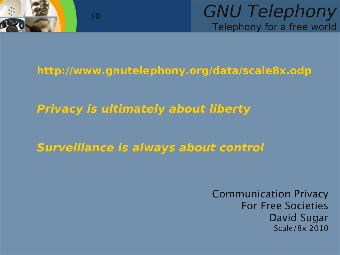

GNU Telephony Telephony for a free world

#### **http://www.gnutelephony.org/data/scale8x.odp**

**Privacy is ultimately about liberty**

**Surveillance is always about control**

Communication Privacy For Free Societies David Sugar Scale/8x 2010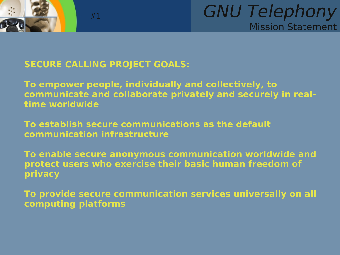

## GNU Telephony Mission Statement

#### **SECURE CALLING PROJECT GOALS:**

#1

**To empower people, individually and collectively, to communicate and collaborate privately and securely in realtime worldwide**

**To establish secure communications as the default communication infrastructure**

**To enable secure anonymous communication worldwide and protect users who exercise their basic human freedom of privacy**

**To provide secure communication services universally on all computing platforms**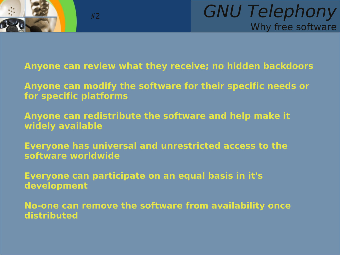

**Anyone can review what they receive; no hidden backdoors**

**Anyone can modify the software for their specific needs or for specific platforms**

**Anyone can redistribute the software and help make it widely available**

**Everyone has universal and unrestricted access to the software worldwide**

**Everyone can participate on an equal basis in it's development**

**No-one can remove the software from availability once distributed**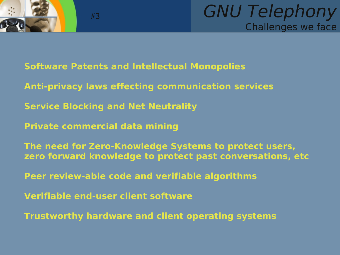



- **Software Patents and Intellectual Monopolies**
- **Anti-privacy laws effecting communication services**
- **Service Blocking and Net Neutrality**
- **Private commercial data mining**

- **The need for Zero-Knowledge Systems to protect users, zero forward knowledge to protect past conversations, etc**
- **Peer review-able code and verifiable algorithms**
- **Verifiable end-user client software**
- **Trustworthy hardware and client operating systems**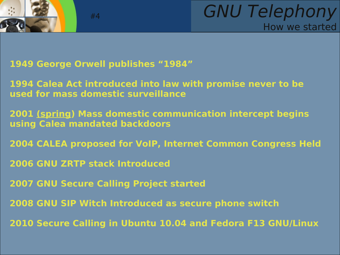



**1949 George Orwell publishes "1984"**

#4

**1994 Calea Act introduced into law with promise never to be used for mass domestic surveillance**

**2001 (spring) Mass domestic communication intercept begins using Calea mandated backdoors**

**2004 CALEA proposed for VoIP, Internet Common Congress Held**

**2006 GNU ZRTP stack Introduced**

**2007 GNU Secure Calling Project started**

**2008 GNU SIP Witch Introduced as secure phone switch**

**2010 Secure Calling in Ubuntu 10.04 and Fedora F13 GNU/Linux**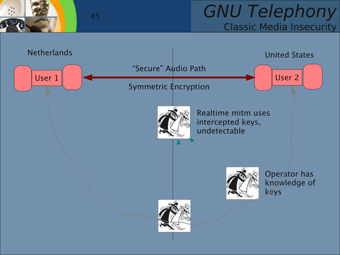## GNU Telephony Classic Media Insecurity

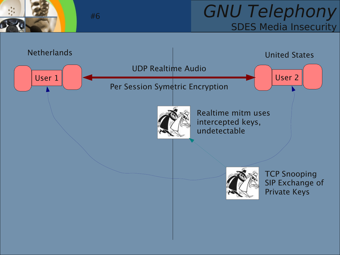## GNU Telephony SDES Media Insecurity

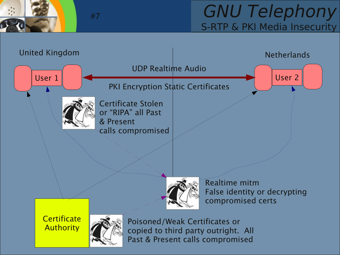

## GNU Telephony S-RTP & PKI Media Insecurity

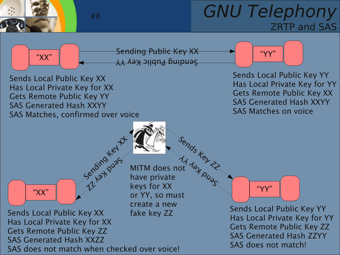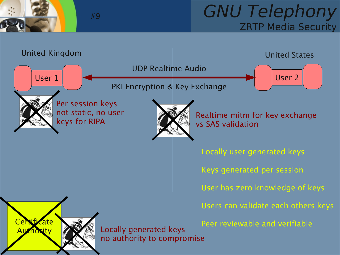

## GNU Telephony ZRTP Media Security

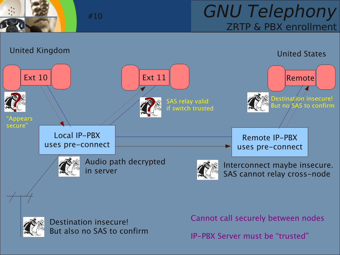

## GNU Telephony ZRTP & PBX enrollment





Destination insecure! But also no SAS to confirm

#10

Cannot call securely between nodes

IP-PBX Server must be "trusted"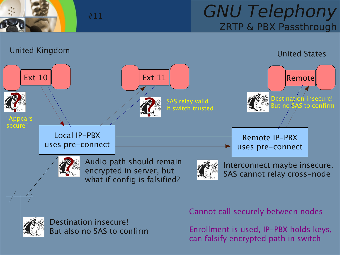

## GNU Telephony ZRTP & PBX Passthrough





Destination insecure! But also no SAS to confirm

#11

Cannot call securely between nodes

Enrollment is used, IP-PBX holds keys, can falsify encrypted path in switch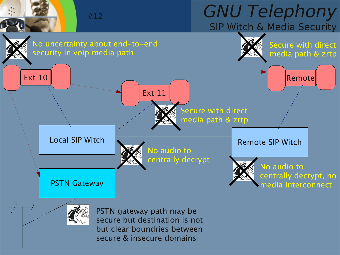# GNU Telephony SIP Witch & Media Security



secure & insecure domains

#12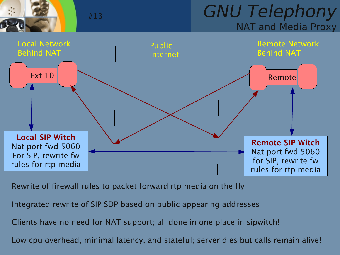

GNU Telephony NAT and Media Proxy



Rewrite of firewall rules to packet forward rtp media on the fly

Integrated rewrite of SIP SDP based on public appearing addresses

Clients have no need for NAT support; all done in one place in sipwitch!

Low cpu overhead, minimal latency, and stateful; server dies but calls remain alive!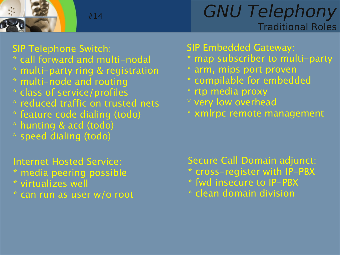

GNU Telephony Traditional Roles

SIP Telephone Switch:

- \* call forward and multi-nodal
- \* multi-party ring & registration

#14

- \* multi-node and routing
- \* class of service/profiles
- \* reduced traffic on trusted nets
- \* feature code dialing (todo)
- \* hunting & acd (todo)
- \* speed dialing (todo)

Internet Hosted Service: \* media peering possible \* virtualizes well \* can run as user w/o root SIP Embedded Gateway:

- \* map subscriber to multi-party
- \* arm, mips port proven
- \* compilable for embedded
- \* rtp media proxy
- \* very low overhead
- \* xmlrpc remote management

Secure Call Domain adjunct: \* cross-register with IP-PBX \* fwd insecure to IP-PBX \* clean domain division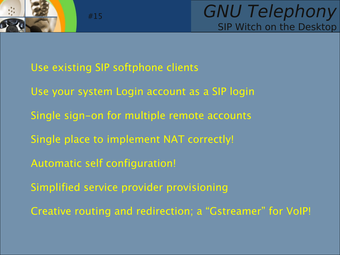

Use existing SIP softphone clients

#15

- Use your system Login account as a SIP login
- Single sign-on for multiple remote accounts
- Single place to implement NAT correctly!
- Automatic self configuration!
- Simplified service provider provisioning
- Creative routing and redirection; a "Gstreamer" for VoIP!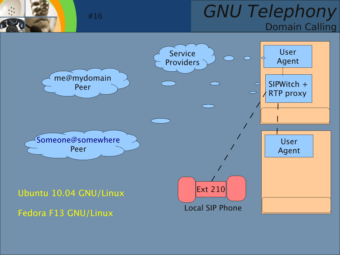## GNU Telephony Domain Calling

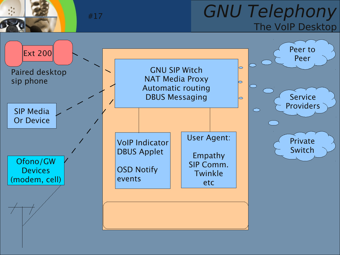

## GNU Telephony The VoIP Desktop

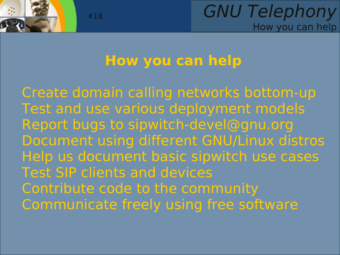

## **How you can help**

Create domain calling networks bottom-up Test and use various deployment models Report bugs to [sipwitch-devel@gnu.org](mailto:sipwitch-devel@gnu.org) Document using different GNU/Linux distros Help us document basic sipwitch use cases Test SIP clients and devices Contribute code to the community Communicate freely using free software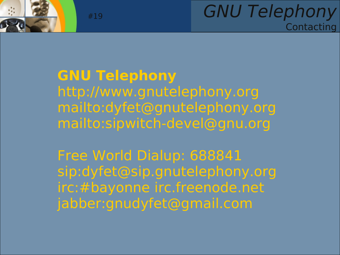

## GNU Telephony **Contacting**

## **GNU Telephony** http://www.gnutelephony.org <mailto:dyfet@gnutelephony.org> mailto:sipwitch-devel@gnu.org

Free World Dialup: 688841 sip:[dyfet@sip.gnutelephony.org](mailto:dyfet@sip.gnutelephony.org) irc:#bayonne irc.freenode.net jabber:gnudyfet@gmail.com